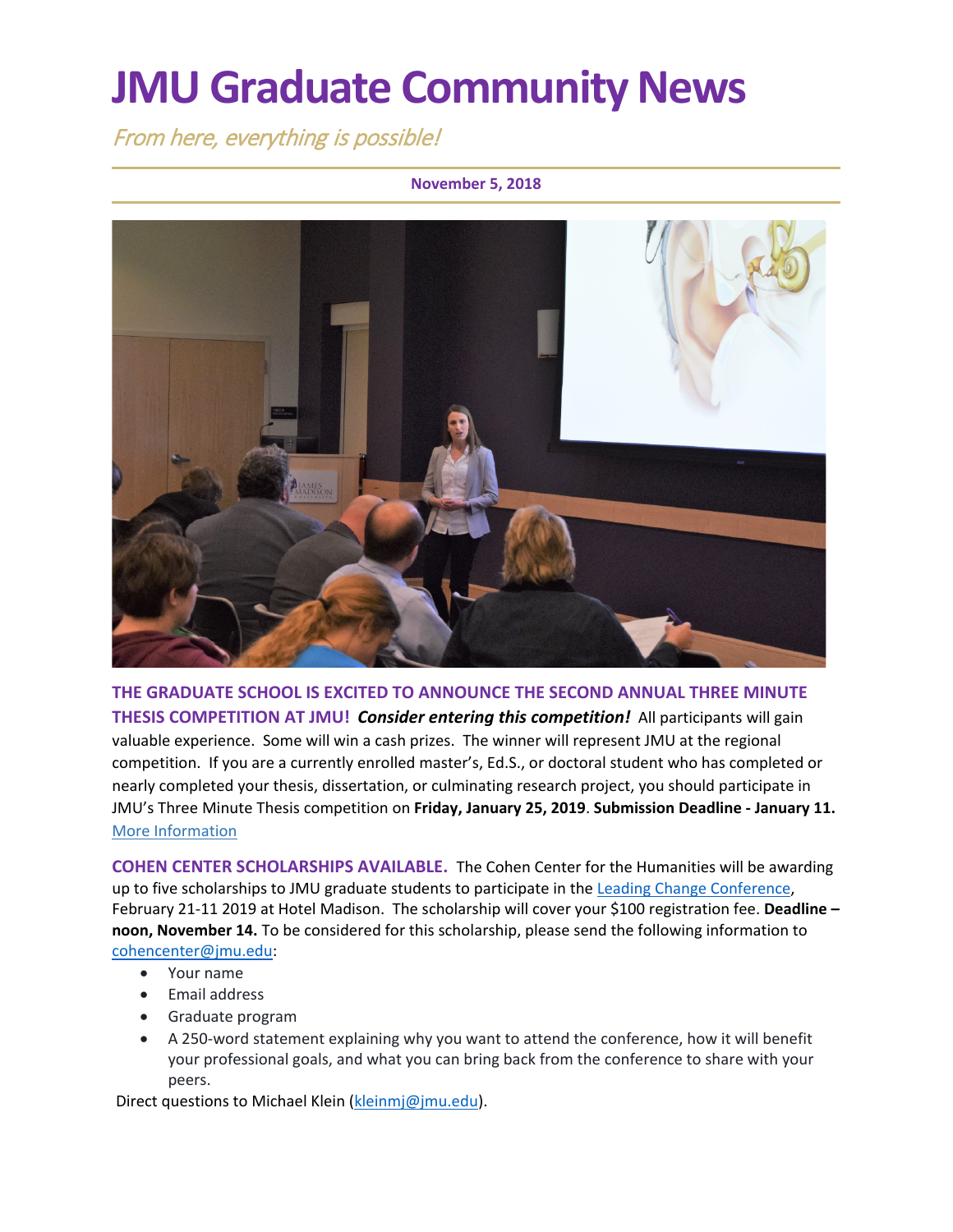# **JMU Graduate Community News**

From here, everything is possible!

#### **November 5, 2018**



**THE GRADUATE SCHOOL IS EXCITED TO ANNOUNCE THE SECOND ANNUAL THREE MINUTE THESIS COMPETITION AT JMU!** *Consider entering this competition!* All participants will gain valuable experience. Some will win a cash prizes. The winner will represent JMU at the regional competition. If you are a currently enrolled master's, Ed.S., or doctoral student who has completed or nearly completed your thesis, dissertation, or culminating research project, you should participate in JMU's Three Minute Thesis competition on **Friday, January 25, 2019**. **Submission Deadline - January 11.**  [More Information](http://www.jmu.edu/grad/current-students/three-minute-thesis.shtml)

**COHEN CENTER SCHOLARSHIPS AVAILABLE.** The Cohen Center for the Humanities will be awarding up to five scholarships to JMU graduate students to participate in the [Leading Change Conference,](https://www.jmu.edu/leadership/LEADCC19/index.shtml) February 21-11 2019 at Hotel Madison. The scholarship will cover your \$100 registration fee. **Deadline – noon, November 14.** To be considered for this scholarship, please send the following information to [cohencenter@jmu.edu:](mailto:cohencenter@jmu.edu)

- Your name
- Email address
- Graduate program
- A 250-word statement explaining why you want to attend the conference, how it will benefit your professional goals, and what you can bring back from the conference to share with your peers.

Direct questions to [Michael Klein](mailto:kleinmj@jmu.edu) [\(kleinmj@jmu.edu\)](mailto:kleinmj@jmu.edu).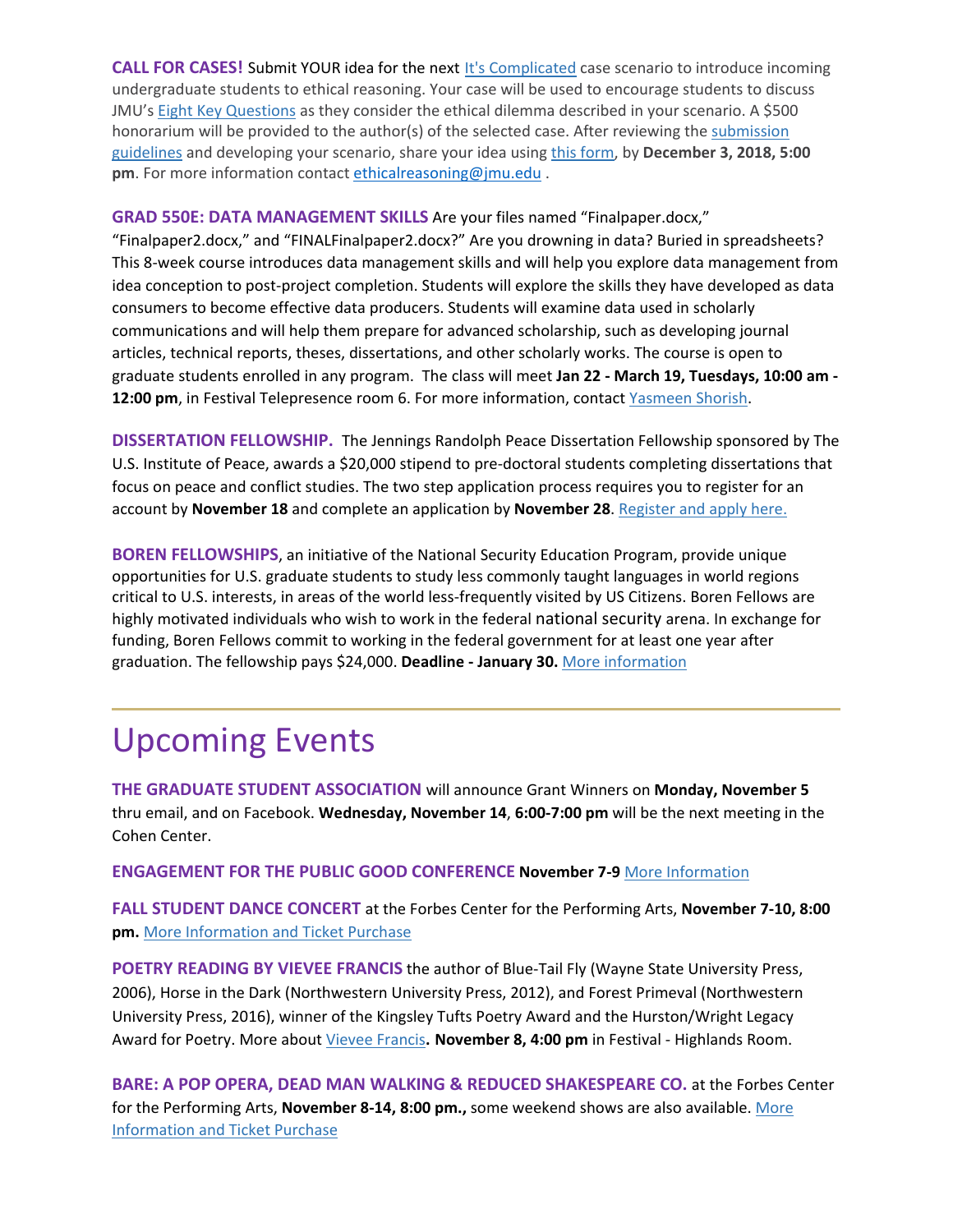**CALL FOR CASES!** Submit YOUR idea for the next [It's Complicated](https://bulkmailtrack.jmu.edu/index.php?hop=IGD62P71MP/r/c3RvbG9mbWxAam11LmVkdQ/l/aHR0cHM6Ly93d3cuam11LmVkdS9vcmllbnRhdGlvbi9pdHMtY29tcGxpY2F0ZWQvaW5kZXguc2h0bWw) case scenario to introduce incoming undergraduate students to ethical reasoning. Your case will be used to encourage students to discuss JMU's [Eight Key Questions](https://bulkmailtrack.jmu.edu/index.php?hop=IGD62P71MP/r/c3RvbG9mbWxAam11LmVkdQ/l/aHR0cDovL3d3dy5qbXUuZWR1L2V0aGljYWxyZWFzb25pbmcvOC1rZXktcXVlc3Rpb25zLnNodG1s) as they consider the ethical dilemma described in your scenario. A \$500 honorarium will be provided to the author(s) of the selected case. After reviewing the [submission](https://bulkmailtrack.jmu.edu/index.php?hop=IGD62P71MP/r/c3RvbG9mbWxAam11LmVkdQ/l/aHR0cDovL3d3dy5qbXUuZWR1L2V0aGljYWxyZWFzb25pbmcvSUMtQ2FzZS1TZWFyY2gtU3VibWlzc2lvbi1Dcml0ZXJpYS0yMDE5LnBkZg)  [guidelines](https://bulkmailtrack.jmu.edu/index.php?hop=IGD62P71MP/r/c3RvbG9mbWxAam11LmVkdQ/l/aHR0cDovL3d3dy5qbXUuZWR1L2V0aGljYWxyZWFzb25pbmcvSUMtQ2FzZS1TZWFyY2gtU3VibWlzc2lvbi1Dcml0ZXJpYS0yMDE5LnBkZg) and developing your scenario, share your idea using [this form,](https://bulkmailtrack.jmu.edu/index.php?hop=IGD62P71MP/r/c3RvbG9mbWxAam11LmVkdQ/l/aHR0cHM6Ly9qbXUuY28xLnF1YWx0cmljcy5jb20vamZlL2Zvcm0vU1ZfMUJ1YWs0MVQ2dW5jY0F0) by **December 3, 2018, 5:00 pm**. For more information contact [ethicalreasoning@jmu.edu](mailto:ethicalreasoning@jmu.edu) .

**GRAD 550E: DATA MANAGEMENT SKILLS** Are your files named "Finalpaper.docx,"

"Finalpaper2.docx," and "FINALFinalpaper2.docx?" Are you drowning in data? Buried in spreadsheets? This 8-week course introduces data management skills and will help you explore data management from idea conception to post-project completion. Students will explore the skills they have developed as data consumers to become effective data producers. Students will examine data used in scholarly communications and will help them prepare for advanced scholarship, such as developing journal articles, technical reports, theses, dissertations, and other scholarly works. The course is open to graduate students enrolled in any program. The class will meet **Jan 22 - March 19, Tuesdays, 10:00 am - 12:00 pm**, in Festival Telepresence room 6. For more information, contac[t Yasmeen Shorish.](mailto:shorisyl@jmu.edu)

**DISSERTATION FELLOWSHIP.** The Jennings Randolph Peace Dissertation Fellowship sponsored by The U.S. Institute of Peace, awards a \$20,000 stipend to pre-doctoral students completing dissertations that focus on peace and conflict studies. The two step application process requires you to register for an account by **November 18** and complete an application by **November 28**[. Register and apply here.](https://www.usip.org/grants-fellowships/jennings-randolph-peace-scholarship-dissertation-program/peace-scholar-applicati-0)

**BOREN FELLOWSHIPS**, an initiative of the National Security Education Program, provide unique opportunities for U.S. graduate students to study less commonly taught languages in world regions critical to U.S. interests, in areas of the world less-frequently visited by US Citizens. Boren Fellows are highly motivated individuals who wish to work in the federal national security arena. In exchange for funding, Boren Fellows commit to working in the federal government for at least one year after graduation. The fellowship pays \$24,000. **Deadline - January 30.** [More information](https://www.borenawards.org/fellowships/boren-fellowship-basics)

### Upcoming Events

**THE GRADUATE STUDENT ASSOCIATION** will announce Grant Winners on **Monday, November 5** thru email, and on Facebook. **Wednesday, November 14**, **6:00-7:00 pm** will be the next meeting in the Cohen Center.

**ENGAGEMENT FOR THE PUBLIC GOOD CONFERENCE November 7-9** [More Information](https://urldefense.proofpoint.com/v2/url?u=http-3A__emclick.imodules.com_wf_click-3Fupn-3DwQ5abTcL3zH4MEgm0x5dQWlEEo4IfZCprQFrtGQTQZVZZ0VPMKiWHUpzBnygBZgtmzf54WR4eahDjaP6iEFSHbZ3ApqMuHl2vCQc4QghX18-2D3D-5FG8u4EMtQnfMIBgByH1shcoe4ctlTLEe2j0youb5p1ABwbnZ7RABRrKb7T67YXxiEn0xEG-2D2BIpRBx-2D2Bei30V-2D2BPbZXV6xY0rRexjaiKJ9zxfNm3TQaoa4HEdBJoOzyEjw-2D2FVZNwz3yP1D8-2D2Fy-2D2FlEZkSRWw6fWSxDbbI1VuqhIZVld9ose5nVdYLW-2D2FDiFrpkiG-2D2BWb2KMZxdfVdFk-2D2FZOaJvUJ5eROS-2D2F2IIjWU-2D2FdjVSwpbXMlStxWnLnP9qkpOSYYWEzk7GmJBBFVO-2D2BRVTnyXmXeO46THJ1LEU0iaiWno8fKUmQyDo5SlMIiuyBbdULOKF9AXPU-2D2BhebKsMPecWn5ACPoD81hcmREesQKu3XvwBnCGHLMI5X4E1jhXiTULYaOhMMFDoIHTTpUTNAULNErmnI1Dn1OIIDFHEkKoIehPzdSZ8CyBP0ahe9AoqV5-2D2Fu-2D2F5Nsx1C9dXb5H-2D2FSbedja6ZD-2D2FSUzkrGBMo9Hb2DrVIZFWP2IsgPu6iU-2D3D&d=DwMFaQ&c=eLbWYnpnzycBCgmb7vCI4uqNEB9RSjOdn_5nBEmmeq0&r=WMqMWf1eH1PYoTSc_U2gXQ&m=_VMn54A7WepQUd4nDF3j1Yu_WlGjdxxecNyrMPEBQAw&s=D96jUa2biRQkdjcR_QUYCtzlmCZ8cRwKmkbNd7xHEwU&e=)

**FALL STUDENT DANCE CONCERT** at the Forbes Center for the Performing Arts, **November 7-10, 8:00 pm.** [More Information and Ticket Purchase](http://www.jmuforbescenter.com/events/2018/11/07-fall-student-dance-concert.shtml)

**POETRY READING BY VIEVEE FRANCIS** the author of Blue-Tail Fly (Wayne State University Press, 2006), Horse in the Dark (Northwestern University Press, 2012), and Forest Primeval (Northwestern University Press, 2016), winner of the Kingsley Tufts Poetry Award and the Hurston/Wright Legacy Award for Poetry. More abou[t Vievee Francis](https://www.jmu.edu/events/furiousflower/2018/11/11-8.shtml)**. November 8, 4:00 pm** in Festival - Highlands Room.

**BARE: A POP OPERA, DEAD MAN WALKING & REDUCED SHAKESPEARE CO.** at the Forbes Center for the Performing Arts, **November 8-14, 8:00 pm.,** some weekend shows are also available. [More](http://www.jmuforbescenter.com/)  [Information and Ticket Purchase](http://www.jmuforbescenter.com/)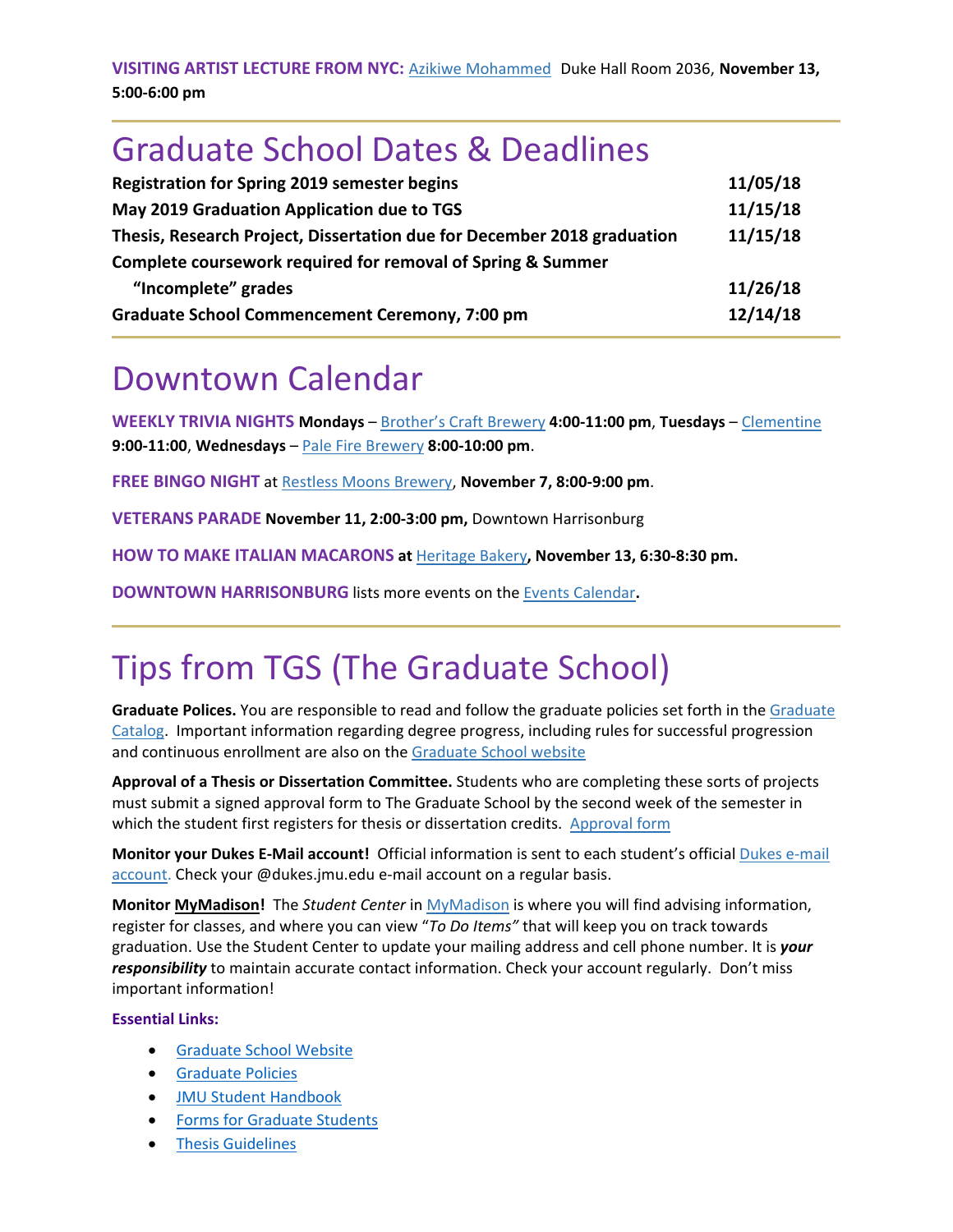**VISITING ARTIST LECTURE FROM NYC:** [Azikiwe Mohammed](http://new.azikiwephoto.com/) Duke Hall Room 2036, **November 13, 5:00-6:00 pm**

### Graduate School Dates & Deadlines

| <b>Registration for Spring 2019 semester begins</b>                     | 11/05/18 |
|-------------------------------------------------------------------------|----------|
| May 2019 Graduation Application due to TGS                              | 11/15/18 |
| Thesis, Research Project, Dissertation due for December 2018 graduation | 11/15/18 |
| Complete coursework required for removal of Spring & Summer             |          |
| "Incomplete" grades                                                     | 11/26/18 |
| <b>Graduate School Commencement Ceremony, 7:00 pm</b>                   | 12/14/18 |

### Downtown Calendar

**WEEKLY TRIVIA NIGHTS Mondays** – [Brother's Craft Brewery](https://www.facebook.com/broscraftbrew/) **4:00-11:00 pm**, **Tuesdays** – [Clementine](http://clementinecafe.com/) **9:00-11:00**, **Wednesdays** – [Pale Fire Brewery](https://www.palefirebrewing.com/events-calendar-view/) **8:00-10:00 pm**.

**FREE BINGO NIGHT** at [Restless Moons Brewery,](https://www.restlessmoons.com/events.html) **November 7, 8:00-9:00 pm**.

**VETERANS PARADE November 11, 2:00-3:00 pm,** Downtown Harrisonburg

**HOW TO MAKE ITALIAN MACARONS at** [Heritage Bakery](https://www.heritagebakes.com/product/how-to-make-italian-macarons/)**, November 13, 6:30-8:30 pm.**

**DOWNTOWN HARRISONBURG** lists more events on th[e Events Calendar](https://downtownharrisonburg.org/events-calendar/)**.**

## Tips from TGS (The Graduate School)

**Graduate Polices.** You are responsible to read and follow the graduate policies set forth in the [Graduate](http://jmu.edu/catalog)  [Catalog.](http://jmu.edu/catalog) Important information regarding degree progress, including rules for successful progression and continuous enrollment are also on the [Graduate School website](http://www.jmu.edu/grad/current-students/degree-progress/beginning.shtml)

**Approval of a Thesis or Dissertation Committee.** Students who are completing these sorts of projects must submit a signed approval form to The Graduate School by the second week of the semester in which the student first registers for thesis or dissertation credits. [Approval form](https://www.jmu.edu/grad/_files/CommitteeApprovalForm2017-18.pdf)

**Monitor your Dukes E-Mail account!** Official information is sent to each student's official [Dukes e-mail](http://www.jmu.edu/computing/helpdesk/selfhelp/DukesEmail.shtml)  [account.](http://www.jmu.edu/computing/helpdesk/selfhelp/DukesEmail.shtml) Check your @dukes.jmu.edu e-mail account on a regular basis.

**Monitor [MyMadison!](http://mymadison.jmu.edu/)** The *Student Center* in [MyMadison](http://mymadison.jmu.edu/) is where you will find advising information, register for classes, and where you can view "*To Do Items"* that will keep you on track towards graduation. Use the Student Center to update your mailing address and cell phone number. It is *your responsibility* to maintain accurate contact information. Check your account regularly. Don't miss important information!

#### **Essential Links:**

- [Graduate School Website](http://www.jmu.edu/grad)
- [Graduate Policies](http://www.jmu.edu/catalog/index.shtml)
- [JMU Student Handbook](https://www.jmu.edu/osarp/handbook/index.shtml)
- [Forms for Graduate Students](http://www.jmu.edu/grad/current-students/graduate-forms.shtml)
- **[Thesis Guidelines](http://www.jmu.edu/grad/current-students/thesis-dissertation/information.shtml)**